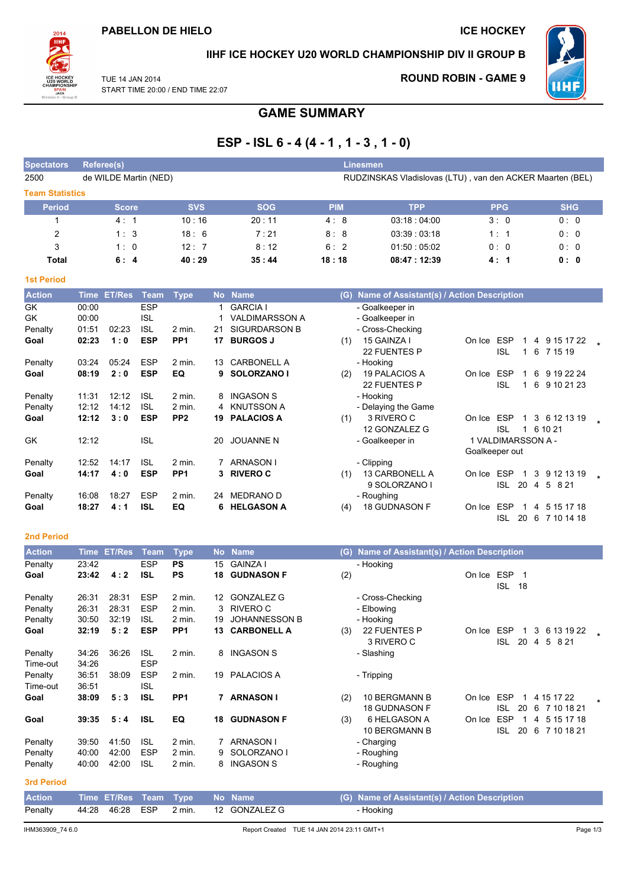

### IIHF ICE HOCKEY U20 WORLD CHAMPIONSHIP DIV II GROUP B

TUE 14 JAN 2014 START TIME 20:00 / END TIME 22:07 **ROUND ROBIN - GAME 9** 



# **GAME SUMMARY**

# ESP - ISL  $6 - 4(4 - 1, 1 - 3, 1 - 0)$

| <b>Spectators</b>      | Referee(s)            |            |            | Linesmen   |                                                           |            |            |
|------------------------|-----------------------|------------|------------|------------|-----------------------------------------------------------|------------|------------|
| 2500                   | de WILDE Martin (NED) |            |            |            | RUDZINSKAS Vladislovas (LTU), van den ACKER Maarten (BEL) |            |            |
| <b>Team Statistics</b> |                       |            |            |            |                                                           |            |            |
| <b>Period</b>          | <b>Score</b>          | <b>SVS</b> | <b>SOG</b> | <b>PIM</b> | <b>TPP</b>                                                | <b>PPG</b> | <b>SHG</b> |
|                        | 4:1                   | 10:16      | 20:11      | 4:8        | 03:18:04:00                                               | 3:0        | 0:0        |
| 2                      | 1:3                   | 18:6       | 7:21       | 8:8        | 03:39:03:18                                               | 1:1        | 0:0        |
| 3                      | 1:0                   | 12:7       | 8:12       | 6:2        | 01:50:05:02                                               | 0:0        | 0:0        |
| Total                  | 6:4                   | 40:29      | 35:44      | 18:18      | 08:47:12:39                                               | 4:1        | 0:0        |

| ____ |  |  |
|------|--|--|

| <b>Action</b> | <b>Time</b> | <b>ET/Res</b> | <b>Team</b> | <b>Type</b>     | <b>No</b> | <b>Name</b>           | (G) | Name of Assistant(s) / Action Description |                |                    |    |   |                      |  |
|---------------|-------------|---------------|-------------|-----------------|-----------|-----------------------|-----|-------------------------------------------|----------------|--------------------|----|---|----------------------|--|
| GK            | 00:00       |               | <b>ESP</b>  |                 |           | <b>GARCIA I</b>       |     | - Goalkeeper in                           |                |                    |    |   |                      |  |
| GK            | 00:00       |               | <b>ISL</b>  |                 |           | <b>VALDIMARSSON A</b> |     | - Goalkeeper in                           |                |                    |    |   |                      |  |
| Penalty       | 01:51       | 02:23         | <b>ISL</b>  | 2 min.          | 21        | <b>SIGURDARSON B</b>  |     | - Cross-Checking                          |                |                    |    |   |                      |  |
| Goal          | 02:23       | 1:0           | <b>ESP</b>  | PP <sub>1</sub> | 17        | <b>BURGOS J</b>       | (1) | 15 GAINZA I                               | On Ice         | ESP                |    |   | 4 9 15 17 22         |  |
|               |             |               |             |                 |           |                       |     | 22 FUENTES P                              |                | <b>ISL</b>         |    | 6 | 7 15 19              |  |
| Penalty       | 03:24       | 05:24         | <b>ESP</b>  | $2$ min.        | 13        | <b>CARBONELL A</b>    |     | - Hooking                                 |                |                    |    |   |                      |  |
| Goal          | 08:19       | 2:0           | <b>ESP</b>  | EQ              | 9         | SOLORZANO I           | (2) | <b>19 PALACIOS A</b>                      | On Ice         | <b>ESP</b>         |    | 6 | 9 19 22 24           |  |
|               |             |               |             |                 |           |                       |     | 22 FUENTES P                              |                | <b>ISL</b>         |    | 6 | 9 10 21 23           |  |
| Penalty       | 11:31       | 12:12         | <b>ISL</b>  | $2$ min.        | 8         | <b>INGASON S</b>      |     | - Hooking                                 |                |                    |    |   |                      |  |
| Penalty       | 12:12       | 14:12         | <b>ISL</b>  | 2 min.          | 4         | <b>KNUTSSON A</b>     |     | - Delaying the Game                       |                |                    |    |   |                      |  |
| Goal          | 12:12       | 3:0           | <b>ESP</b>  | PP <sub>2</sub> | 19        | <b>PALACIOS A</b>     | (1) | 3 RIVERO C                                | On Ice         | <b>ESP</b>         |    |   | 3 6 12 13 19         |  |
|               |             |               |             |                 |           |                       |     | 12 GONZALEZ G                             |                | <b>ISL</b>         |    |   | 6 10 21              |  |
| GK            | 12:12       |               | <b>ISL</b>  |                 | 20        | <b>JOUANNE N</b>      |     | - Goalkeeper in                           |                | 1 VALDIMARSSON A - |    |   |                      |  |
|               |             |               |             |                 |           |                       |     |                                           | Goalkeeper out |                    |    |   |                      |  |
| Penalty       | 12:52       | 14:17         | <b>ISL</b>  | 2 min.          |           | <b>ARNASON</b>        |     | - Clipping                                |                |                    |    |   |                      |  |
| Goal          | 14:17       | 4:0           | <b>ESP</b>  | PP <sub>1</sub> | 3         | <b>RIVERO C</b>       | (1) | <b>13 CARBONELL A</b>                     | On Ice         | <b>ESP</b>         |    | 3 | 9 12 13 19           |  |
|               |             |               |             |                 |           |                       |     | 9 SOLORZANO I                             |                | <b>ISL</b>         | 20 | 4 | $5^{\circ}$<br>8 2 1 |  |
| Penalty       | 16:08       | 18:27         | <b>ESP</b>  | $2$ min.        | 24        | <b>MEDRANO D</b>      |     | - Roughing                                |                |                    |    |   |                      |  |
| Goal          | 18:27       | 4 : 1         | <b>ISL</b>  | EQ              | 6         | <b>HELGASON A</b>     | (4) | <b>18 GUDNASON F</b>                      | On Ice         | <b>ESP</b>         |    | 4 | 5 15 17 18           |  |
|               |             |               |             |                 |           |                       |     |                                           |                | ISL                | 20 | 6 | 7 10 14 18           |  |

### 2nd Period

| <b>Action</b>       | <b>Time</b>    | <b>ET/Res</b> | <b>Team</b>              | <b>Type</b>     |    | No Name              | (G) | Name of Assistant(s) / Action Description    |        |                                       |                                    |         |
|---------------------|----------------|---------------|--------------------------|-----------------|----|----------------------|-----|----------------------------------------------|--------|---------------------------------------|------------------------------------|---------|
| Penalty             | 23:42          |               | <b>ESP</b>               | <b>PS</b>       | 15 | <b>GAINZA I</b>      |     | - Hooking                                    |        |                                       |                                    |         |
| Goal                | 23:42          | 4:2           | <b>ISL</b>               | <b>PS</b>       | 18 | <b>GUDNASON F</b>    | (2) |                                              | On Ice | <b>ESP</b><br>-1<br><b>ISL</b><br>-18 |                                    |         |
| Penalty             | 26:31          | 28:31         | <b>ESP</b>               | 2 min.          | 12 | <b>GONZALEZ G</b>    |     | - Cross-Checking                             |        |                                       |                                    |         |
| Penalty             | 26:31          | 28:31         | <b>ESP</b>               | 2 min.          | 3  | RIVERO C             |     | - Elbowing                                   |        |                                       |                                    |         |
| Penalty             | 30:50          | 32:19         | <b>ISL</b>               | 2 min.          | 19 | <b>JOHANNESSON B</b> |     | - Hooking                                    |        |                                       |                                    |         |
| Goal                | 32:19          | 5:2           | <b>ESP</b>               | PP <sub>1</sub> | 13 | <b>CARBONELL A</b>   | (3) | 22 FUENTES P<br>3 RIVERO C                   | On Ice | <b>ESP</b><br><b>ISL</b><br>20        | 3<br>6 13 19 22<br>5<br>8 2 1<br>4 |         |
| Penalty<br>Time-out | 34:26<br>34:26 | 36:26         | <b>ISL</b><br><b>ESP</b> | $2$ min.        | 8  | <b>INGASON S</b>     |     | - Slashing                                   |        |                                       |                                    |         |
| Penalty<br>Time-out | 36:51<br>36:51 | 38:09         | <b>ESP</b><br><b>ISL</b> | 2 min.          | 19 | <b>PALACIOS A</b>    |     | - Tripping                                   |        |                                       |                                    |         |
| Goal                | 38:09          | 5:3           | <b>ISL</b>               | PP <sub>1</sub> | 7  | <b>ARNASON I</b>     | (2) | <b>10 BERGMANN B</b><br><b>18 GUDNASON F</b> | On Ice | <b>ESP</b><br>1<br><b>ISL</b><br>20   | 4 15 17 22<br>6<br>7 10 18 21      | $\star$ |
| Goal                | 39:35          | 5:4           | <b>ISL</b>               | EQ              | 18 | <b>GUDNASON F</b>    | (3) | 6 HELGASON A<br><b>10 BERGMANN B</b>         | On Ice | <b>ESP</b><br><b>ISL</b><br>20        | 5 15 17 18<br>4<br>7 10 18 21<br>6 |         |
| Penalty             | 39:50          | 41:50         | <b>ISL</b>               | $2$ min.        | 7  | ARNASON I            |     | - Charging                                   |        |                                       |                                    |         |
| Penalty             | 40:00          | 42:00         | <b>ESP</b>               | 2 min.          |    | SOLORZANO I          |     | - Roughing                                   |        |                                       |                                    |         |
| Penalty             | 40:00          | 42:00         | <b>ISL</b>               | 2 min.          |    | <b>INGASON S</b>     |     | - Roughing                                   |        |                                       |                                    |         |
| 3rd Period          |                |               |                          |                 |    |                      |     |                                              |        |                                       |                                    |         |

| <b>Action</b> |  | Time ET/Res Team Type No Name |                      | (G) Name of Assistant(s) / Action Description |
|---------------|--|-------------------------------|----------------------|-----------------------------------------------|
| Penalty       |  |                               | 2 min. 12 GONZALEZ G | - Hooking                                     |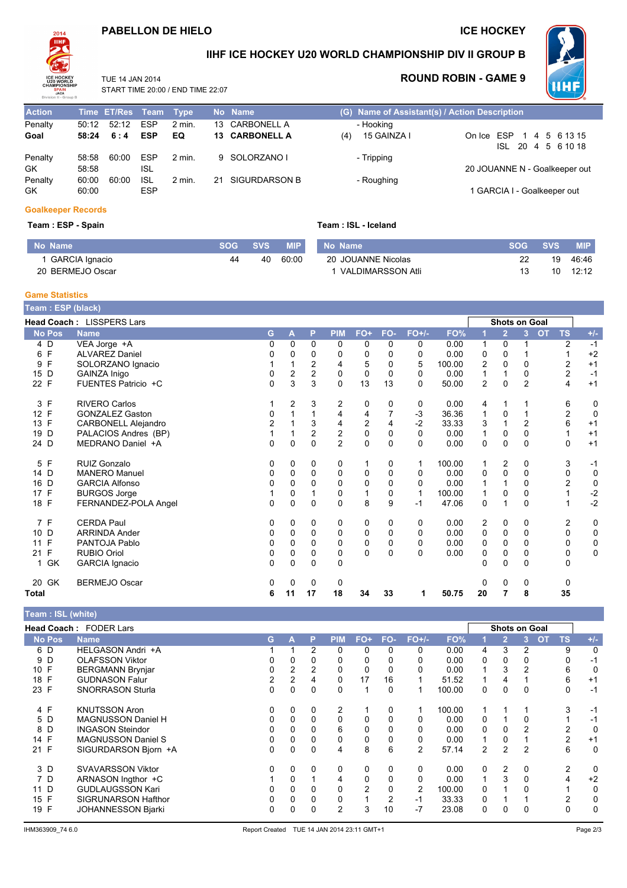# PABELLON DE HIELO

### **ICE HOCKEY**



Action Penalty

Goal

GK

 $GK$ 

Penalty

Penalty

### IIHF ICE HOCKEY U20 WORLD CHAMPIONSHIP DIV II GROUP B

TUE 14 JAN 2014  $\sqrt{5}$  CND TIME 22:07

ESP

 $2$  min.

# **ROUND ROBIN - GAME 9**



|       | START TIME 20:00 / END TIME 22:07 |            |        |                |     |                                               |                               |  |  |                    |  |
|-------|-----------------------------------|------------|--------|----------------|-----|-----------------------------------------------|-------------------------------|--|--|--------------------|--|
|       | Time ET/Res Team Type             |            |        | No Name        |     | (G) Name of Assistant(s) / Action Description |                               |  |  |                    |  |
|       | 50:12 52:12 ESP                   |            | 2 min. | 13 CARBONELL A |     | - Hooking                                     |                               |  |  |                    |  |
|       | $58:24$ 6:4                       | ESP        | EQ.    | 13 CARBONELL A | (4) | 15 GAINZA I                                   | On Ice ESP 1 4 5 6 13 15      |  |  |                    |  |
|       |                                   |            |        |                |     |                                               |                               |  |  | ISL 20 4 5 6 10 18 |  |
| 58:58 | 60:00                             | <b>ESP</b> | 2 min. | 9 SOLORZANO I  |     | - Tripping                                    |                               |  |  |                    |  |
| 58:58 |                                   | ISL        |        |                |     |                                               | 20 JOUANNE N - Goalkeeper out |  |  |                    |  |

1 GARCIA I - Goalkeeper out

#### **Goalkeeper Records**

60:00

60:00 60:00 ISL

#### Team: ESP - Spain

|  |  |  |  | Team: ISL - Iceland |
|--|--|--|--|---------------------|
|--|--|--|--|---------------------|

- Roughing

| No Name          | SOG | <b>SVS</b> | <b>MIP</b> | No Name            | <b>SOG</b> | <b>SVS</b> | <b>MIP</b> |
|------------------|-----|------------|------------|--------------------|------------|------------|------------|
| 1 GARCIA Ignacio | 44  | 40         | 60:00      | 20 JOUANNE Nicolas | --         | 10         | 46:46      |
| 20 BERMEJO Oscar |     |            |            | VALDIMARSSON Atli  |            |            | 12:12      |

21 SIGURDARSON B

#### **Game Statistics**

| Team : ESP (black)   |                            |                |    |          |                |                |          |              |        |                |                      |                |           |                         |             |
|----------------------|----------------------------|----------------|----|----------|----------------|----------------|----------|--------------|--------|----------------|----------------------|----------------|-----------|-------------------------|-------------|
|                      | Head Coach: LISSPERS Lars  |                |    |          |                |                |          |              |        |                | <b>Shots on Goal</b> |                |           |                         |             |
| <b>No Pos</b>        | <b>Name</b>                | G              | A  | P        | <b>PIM</b>     | FO+            | FO-      | $FO+/-$      | FO%    |                | 2                    | 3              | <b>OT</b> | <b>TS</b>               | $+/-$       |
| 4 D                  | VEA Jorge +A               | 0              | 0  | 0        | 0              | 0              | 0        | 0            | 0.00   | 1              | $\mathbf 0$          |                |           | $\overline{2}$          | $-1$        |
| F<br>6               | <b>ALVAREZ Daniel</b>      | 0              | 0  | $\Omega$ | 0              | $\mathbf 0$    | 0        | 0            | 0.00   | 0              | $\Omega$             |                |           |                         | $+2$        |
| F<br>9               | SOLORZANO Ignacio          |                |    | 2        | 4              | 5              | 0        | 5            | 100.00 | 2              | 0                    | 0              |           | $\overline{2}$          | $+1$        |
| 15 D                 | GAINZA Inigo               | 0              | 2  | 2        | 0              | $\mathbf 0$    | 0        | 0            | 0.00   |                |                      | 0              |           | $\boldsymbol{2}$        | $-1$        |
| 22 F                 | FUENTES Patricio +C        | 0              | 3  | 3        | $\Omega$       | 13             | 13       | 0            | 50.00  | $\overline{2}$ | $\Omega$             | $\overline{2}$ |           | 4                       | $+1$        |
| F<br>3               | <b>RIVERO Carlos</b>       |                | 2  | 3        | $\overline{c}$ | 0              | 0        | 0            | 0.00   | 4              | 1                    |                |           | 6                       | 0           |
| F<br>12 <sup>°</sup> | <b>GONZALEZ Gaston</b>     | 0              |    |          | 4              | 4              |          | $-3$         | 36.36  | 1              | 0                    |                |           | $\overline{\mathbf{c}}$ | $\mathbf 0$ |
| $\mathsf{F}$<br>13   | <b>CARBONELL Alejandro</b> | $\overline{c}$ |    | 3        | $\overline{4}$ | $\overline{c}$ | 4        | $-2$         | 33.33  | 3              | 1                    | $\overline{2}$ |           | 6                       | $+1$        |
| D<br>19              | PALACIOS Andres (BP)       |                |    | 2        | 2              | 0              | 0        | $\Omega$     | 0.00   |                | 0                    | 0              |           |                         | $+1$        |
| 24 D                 | MEDRANO Daniel +A          | 0              | 0  | $\Omega$ | $\overline{2}$ | $\Omega$       | $\Omega$ | $\Omega$     | 0.00   | 0              | $\Omega$             | 0              |           | $\Omega$                | $+1$        |
| F<br>5               | <b>RUIZ Gonzalo</b>        | 0              | 0  | 0        | 0              | 1              | 0        | 1            | 100.00 | 1              | $\overline{2}$       | 0              |           | 3                       | $-1$        |
| 14 D                 | <b>MANERO Manuel</b>       | 0              | 0  | 0        | $\mathbf 0$    | 0              | 0        | 0            | 0.00   | 0              | $\mathbf{0}$         | 0              |           | 0                       | 0           |
| 16<br>D              | <b>GARCIA Alfonso</b>      | 0              | 0  | $\Omega$ | 0              | $\mathbf 0$    | 0        | 0            | 0.00   |                |                      | 0              |           | $\overline{2}$          | 0           |
| F<br>17              | <b>BURGOS Jorge</b>        |                | 0  |          | 0              | 1              | 0        | $\mathbf{1}$ | 100.00 | 1              | $\Omega$             | 0              |           |                         | $-2$        |
| 18 F                 | FERNANDEZ-POLA Angel       | 0              | 0  | $\Omega$ | $\Omega$       | 8              | 9        | -1           | 47.06  | 0              | 1                    | 0              |           |                         | $-2$        |
| 7 F                  | <b>CERDA Paul</b>          | 0              | 0  | 0        | 0              | 0              | 0        | 0            | 0.00   | 2              | 0                    | 0              |           | 2                       | 0           |
| D<br>10              | <b>ARRINDA Ander</b>       | 0              | 0  | 0        | 0              | $\mathbf 0$    | 0        | 0            | 0.00   | 0              | $\mathbf 0$          | 0              |           | 0                       | $\mathbf 0$ |
| F<br>11              | PANTOJA Pablo              | 0              | 0  | $\Omega$ | $\Omega$       | $\mathbf 0$    | 0        | 0            | 0.00   | 0              | $\Omega$             | 0              |           | $\Omega$                | $\pmb{0}$   |
| F<br>21              | <b>RUBIO Oriol</b>         | 0              | 0  | 0        | 0              | $\mathbf{0}$   | 0        | 0            | 0.00   | 0              | $\mathbf 0$          | 0              |           | 0                       | $\mathbf 0$ |
| 1 GK                 | GARCIA Ignacio             | $\Omega$       | 0  | $\Omega$ | 0              |                |          |              |        | 0              | $\Omega$             | 0              |           | $\mathbf 0$             |             |
| GK<br>20             | <b>BERMEJO Oscar</b>       | 0              | 0  | 0        | 0              |                |          |              |        | 0              | 0                    | 0              |           | 0                       |             |
| Total                |                            | 6              | 11 | 17       | 18             | 34             | 33       | 1            | 50.75  | 20             | 7                    | 8              |           | 35                      |             |

#### Team : ISL (white)

|               | <b>Head Coach: FODER Lars</b> |   |   |          |              |          |     |                |        |                | <b>Shots on Goal</b> |   |           |                |       |
|---------------|-------------------------------|---|---|----------|--------------|----------|-----|----------------|--------|----------------|----------------------|---|-----------|----------------|-------|
| <b>No Pos</b> | <b>Name</b>                   | G | А | P        | <b>PIM</b>   | $FO+$    | FO- | $FO+/-$        | FO%    |                | $\overline{2}$       | 3 | <b>OT</b> | ΤS             | $+/-$ |
| 6 D           | HELGASON Andri +A             |   |   | 2        | $\mathbf{0}$ | 0        | 0   | 0              | 0.00   | 4              | 3                    | 2 |           | 9              | 0     |
| 9 D           | <b>OLAFSSON Viktor</b>        |   |   |          | 0            | 0        |     | 0              | 0.00   | 0              | 0                    |   |           |                | -1    |
| 10 F          | <b>BERGMANN Brynjar</b>       | 0 |   | 2        | 0            | 0        |     | 0              | 0.00   | 1              | 3                    | 2 |           | 6              | 0     |
| 18 F          | <b>GUDNASON Falur</b>         | 2 | 2 | 4        | 0            | 17       | 16  |                | 51.52  | 1              | 4                    |   |           | 6              | $+1$  |
| 23 F          | <b>SNORRASON Sturla</b>       | U | 0 | $\Omega$ | 0            |          | 0   |                | 100.00 | 0              | 0                    | 0 |           | 0              | -1    |
| 4 F           | <b>KNUTSSON Aron</b>          | 0 | 0 | 0        | 2            |          | 0   |                | 100.00 |                |                      |   |           | 3              | -1    |
| 5 D           | <b>MAGNUSSON Daniel H</b>     | 0 | 0 | 0        | $\Omega$     | 0        | 0   | 0              | 0.00   | 0              |                      | 0 |           |                | -1    |
| 8 D           | <b>INGASON Steindor</b>       | 0 | 0 | 0        | 6            | 0        |     | 0              | 0.00   | 0              | 0                    |   |           |                | 0     |
| 14 F          | <b>MAGNUSSON Daniel S</b>     | 0 |   |          | 0            | 0        |     | 0              | 0.00   |                | 0                    |   |           |                | $+1$  |
| 21 F          | SIGURDARSON Bjorn +A          | U | 0 | 0        | 4            | 8        | 6   | 2              | 57.14  | $\overline{2}$ | 2                    | 2 |           | 6              | 0     |
| 3 D           | <b>SVAVARSSON Viktor</b>      | 0 |   | 0        | 0            | 0        | 0   | 0              | 0.00   | 0              | 2                    |   |           | $\overline{2}$ | 0     |
| 7 D           | ARNASON Ingthor +C            |   | 0 |          | 4            | $\Omega$ |     | 0              | 0.00   | 1              | 3                    |   |           |                | $+2$  |
| 11 D          | <b>GUDLAUGSSON Kari</b>       |   | 0 |          | 0            | 2        |     | $\overline{2}$ | 100.00 | 0              |                      |   |           |                | 0     |
| F<br>15       | <b>SIGRUNARSON Hafthor</b>    |   | 0 |          | 0            |          | 2   | -1             | 33.33  | 0              |                      |   |           |                | 0     |
| 19 F          | <b>JOHANNESSON Bjarki</b>     | 0 | 0 |          | 2            | 3        | 10  | -7             | 23.08  | 0              | $\Omega$             |   |           |                | 0     |